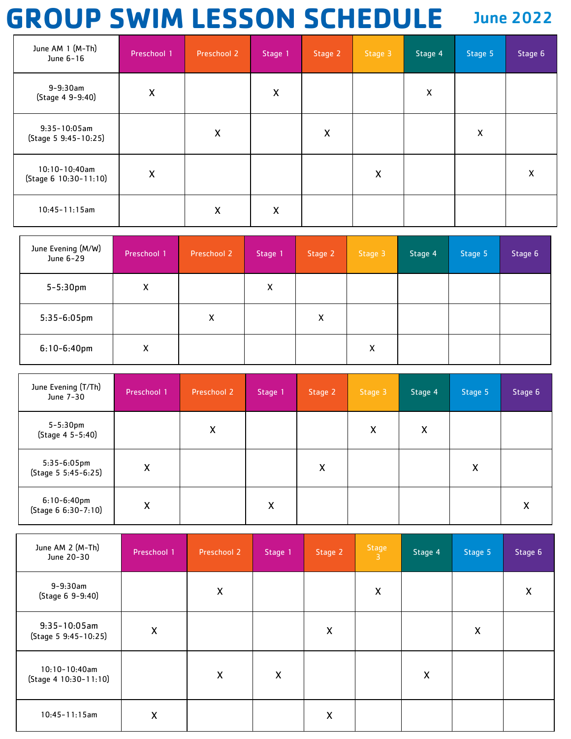## **GROUP SWIM LESSON SCHEDULE** June 2022

| June AM 1 (M-Th)<br>June 6-16           | Preschool 1        | Preschool 2 | Stage 1                   | Stage 2 | Stage 3            | Stage 4            | Stage 5 | Stage 6 |
|-----------------------------------------|--------------------|-------------|---------------------------|---------|--------------------|--------------------|---------|---------|
| $9 - 9:30$ am<br>(Stage 4 9-9:40)       | $\pmb{\mathsf{X}}$ |             | $\boldsymbol{\mathsf{X}}$ |         |                    | $\pmb{\mathsf{X}}$ |         |         |
| $9:35-10:05$ am<br>(Stage 5 9:45-10:25) |                    | X           |                           | X       |                    |                    | Χ       |         |
| 10:10-10:40am<br>(Stage 6 10:30-11:10)  | $\pmb{\mathsf{X}}$ |             |                           |         | $\pmb{\mathsf{X}}$ |                    |         | X       |
| $10:45 - 11:15$ am                      |                    | X           | X                         |         |                    |                    |         |         |

| June Evening (M/W)<br>June 6-29 | Preschool 1 | Preschool 2 | Stage 1 | Stage 2 | Stage 3 | Stage 4 | Stage 5 | Stage 6 |
|---------------------------------|-------------|-------------|---------|---------|---------|---------|---------|---------|
| $5 - 5:30$ pm                   | X           |             | X       |         |         |         |         |         |
| $5:35-6:05$ pm                  |             | X           |         | X       |         |         |         |         |
| $6:10-6:40$ pm                  | X           |             |         |         | Χ       |         |         |         |

| June Evening (T/Th)<br>June 7-30      | Preschool 1 | Preschool 2 | Stage 1 | Stage 2                   | Stage 3 | Stage 4 | Stage 5 | Stage 6 |
|---------------------------------------|-------------|-------------|---------|---------------------------|---------|---------|---------|---------|
| 5-5:30pm<br>(Stage 4 5-5:40)          |             | X           |         |                           | X       | X       |         |         |
| $5:35-6:05$ pm<br>(Stage 5 5:45-6:25) | X           |             |         | $\boldsymbol{\mathsf{X}}$ |         |         | X       |         |
| $6:10-6:40$ pm<br>(Stage 6 6:30-7:10) | X           |             | X       |                           |         |         |         | x       |

| June AM 2 (M-Th)<br>June 20-30            | Preschool 1 | Preschool 2        | Stage 1            | Stage 2                   | $rac{Stage}{3}$    | Stage 4 | Stage 5 | Stage 6 |
|-------------------------------------------|-------------|--------------------|--------------------|---------------------------|--------------------|---------|---------|---------|
| $9 - 9:30$ am<br>(Stage 6 9-9:40)         |             | $\pmb{\mathsf{X}}$ |                    |                           | $\pmb{\mathsf{X}}$ |         |         | x       |
| $9:35-10:05am$<br>(Stage 5 9:45-10:25)    | X           |                    |                    | X                         |                    |         | X       |         |
| $10:10-10:40$ am<br>(Stage 4 10:30-11:10) |             | $\pmb{\mathsf{X}}$ | $\pmb{\mathsf{X}}$ |                           |                    | X       |         |         |
| $10:45 - 11:15$ am                        | X           |                    |                    | $\boldsymbol{\mathsf{X}}$ |                    |         |         |         |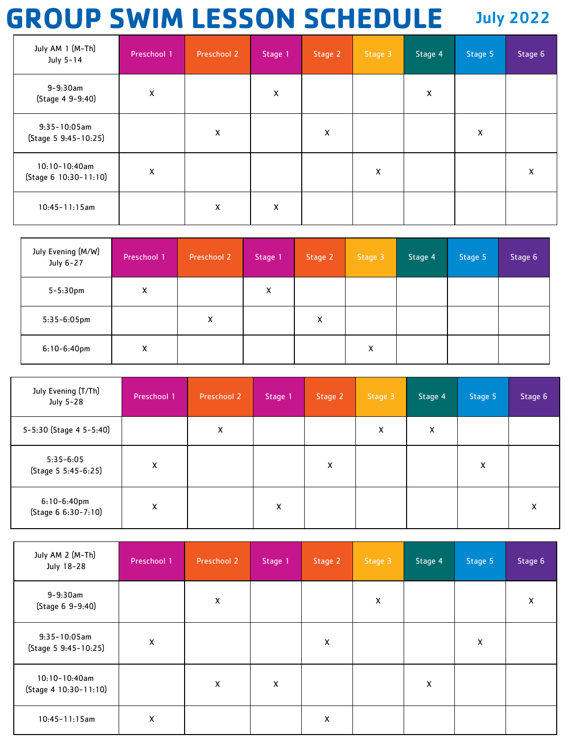## **GROUP SWIM LESSON SCHEDULE** July 2022

| July AM 1 (M-Th)<br>July 5-14               | Preschool 1 | Preschool 2 | Stage 1 | Stage 2 | Stage 3 | Stage 4 | Stage 5 | Stage 6 |
|---------------------------------------------|-------------|-------------|---------|---------|---------|---------|---------|---------|
| $9 - 9:30$ am<br>(Stage 4 9-9:40)           | X           |             | X       |         |         | Χ       |         |         |
| $9:35-10:05$ am<br>(Stage 5 9:45-10:25)     |             | X           |         | X       |         |         | X       |         |
| $10:10 - 10:40$ am<br>(Stage 6 10:30-11:10) | X           |             |         |         | X       |         |         | X       |
| $10:45 - 11:15$ am                          |             | X           | X       |         |         |         |         |         |

| July Evening (M/W)<br>July 6-27 | Preschool 1 | Preschool 2 | Stage 1 | Stage 2 | Stage 3 | Stage 4 | Stage 5 | Stage 6 |
|---------------------------------|-------------|-------------|---------|---------|---------|---------|---------|---------|
| $5 - 5:30$ pm                   | X           |             | X       |         |         |         |         |         |
| $5:35-6:05$ pm                  |             | x           |         | X       |         |         |         |         |
| $6:10-6:40$ pm                  | x           |             |         |         | x       |         |         |         |

| July Evening (T/Th)<br>July 5-28      | Preschool 1 | Preschool 2 | Stage 1 | Stage 2 | Stage 3 | Stage 4 | Stage 5 | Stage 6 |
|---------------------------------------|-------------|-------------|---------|---------|---------|---------|---------|---------|
| 5-5:30 (Stage 4 5-5:40)               |             | X           |         |         | x       | x       |         |         |
| $5:35-6:05$<br>(Stage 5 5:45-6:25)    | X           |             |         | X       |         |         | X       |         |
| $6:10-6:40$ pm<br>(Stage 6 6:30-7:10) | X           |             | X       |         |         |         |         | X       |

| July AM 2 (M-Th)<br>July 18-28            | Preschool 1 | Preschool 2 | Stage 1 | Stage 2 | Stage 3 | Stage 4 | Stage 5 | Stage 6 |
|-------------------------------------------|-------------|-------------|---------|---------|---------|---------|---------|---------|
| $9 - 9:30$ am<br>(Stage 6 9-9:40)         |             | Χ           |         |         | X       |         |         | X       |
| $9:35-10:05$ am<br>(Stage 5 9:45-10:25)   | X           |             |         | X       |         |         | X       |         |
| $10:10-10:40$ am<br>(Stage 4 10:30-11:10) |             | X           | X       |         |         | X       |         |         |
| $10:45 - 11:15$ am                        | Χ           |             |         | X       |         |         |         |         |